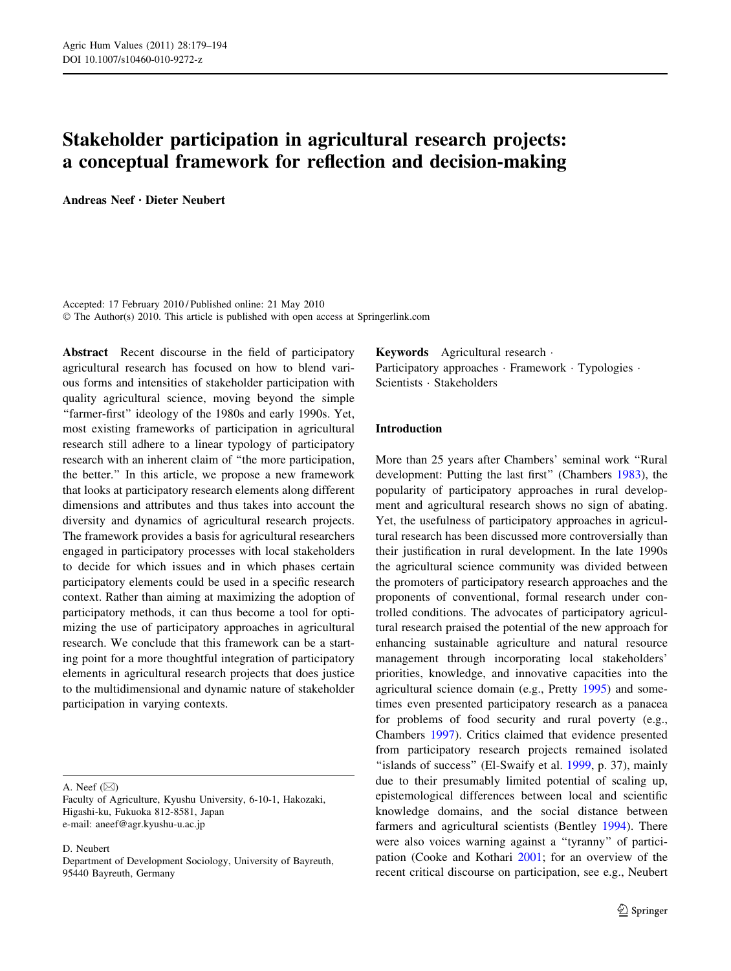# Stakeholder participation in agricultural research projects: a conceptual framework for reflection and decision-making

Andreas Neef • Dieter Neubert

Accepted: 17 February 2010 / Published online: 21 May 2010 © The Author(s) 2010. This article is published with open access at Springerlink.com

Abstract Recent discourse in the field of participatory agricultural research has focused on how to blend various forms and intensities of stakeholder participation with quality agricultural science, moving beyond the simple "farmer-first" ideology of the 1980s and early 1990s. Yet, most existing frameworks of participation in agricultural research still adhere to a linear typology of participatory research with an inherent claim of ''the more participation, the better.'' In this article, we propose a new framework that looks at participatory research elements along different dimensions and attributes and thus takes into account the diversity and dynamics of agricultural research projects. The framework provides a basis for agricultural researchers engaged in participatory processes with local stakeholders to decide for which issues and in which phases certain participatory elements could be used in a specific research context. Rather than aiming at maximizing the adoption of participatory methods, it can thus become a tool for optimizing the use of participatory approaches in agricultural research. We conclude that this framework can be a starting point for a more thoughtful integration of participatory elements in agricultural research projects that does justice to the multidimensional and dynamic nature of stakeholder participation in varying contexts.

A. Neef  $(\boxtimes)$ 

D. Neubert

Keywords Agricultural research - Participatory approaches · Framework · Typologies · Scientists - Stakeholders

# Introduction

More than 25 years after Chambers' seminal work ''Rural development: Putting the last first'' (Chambers [1983\)](#page-13-0), the popularity of participatory approaches in rural development and agricultural research shows no sign of abating. Yet, the usefulness of participatory approaches in agricultural research has been discussed more controversially than their justification in rural development. In the late 1990s the agricultural science community was divided between the promoters of participatory research approaches and the proponents of conventional, formal research under controlled conditions. The advocates of participatory agricultural research praised the potential of the new approach for enhancing sustainable agriculture and natural resource management through incorporating local stakeholders' priorities, knowledge, and innovative capacities into the agricultural science domain (e.g., Pretty [1995\)](#page-14-0) and sometimes even presented participatory research as a panacea for problems of food security and rural poverty (e.g., Chambers [1997\)](#page-13-0). Critics claimed that evidence presented from participatory research projects remained isolated "islands of success" (El-Swaify et al. [1999,](#page-14-0) p. 37), mainly due to their presumably limited potential of scaling up, epistemological differences between local and scientific knowledge domains, and the social distance between farmers and agricultural scientists (Bentley [1994\)](#page-13-0). There were also voices warning against a ''tyranny'' of participation (Cooke and Kothari [2001](#page-14-0); for an overview of the recent critical discourse on participation, see e.g., Neubert

Faculty of Agriculture, Kyushu University, 6-10-1, Hakozaki, Higashi-ku, Fukuoka 812-8581, Japan e-mail: aneef@agr.kyushu-u.ac.jp

Department of Development Sociology, University of Bayreuth, 95440 Bayreuth, Germany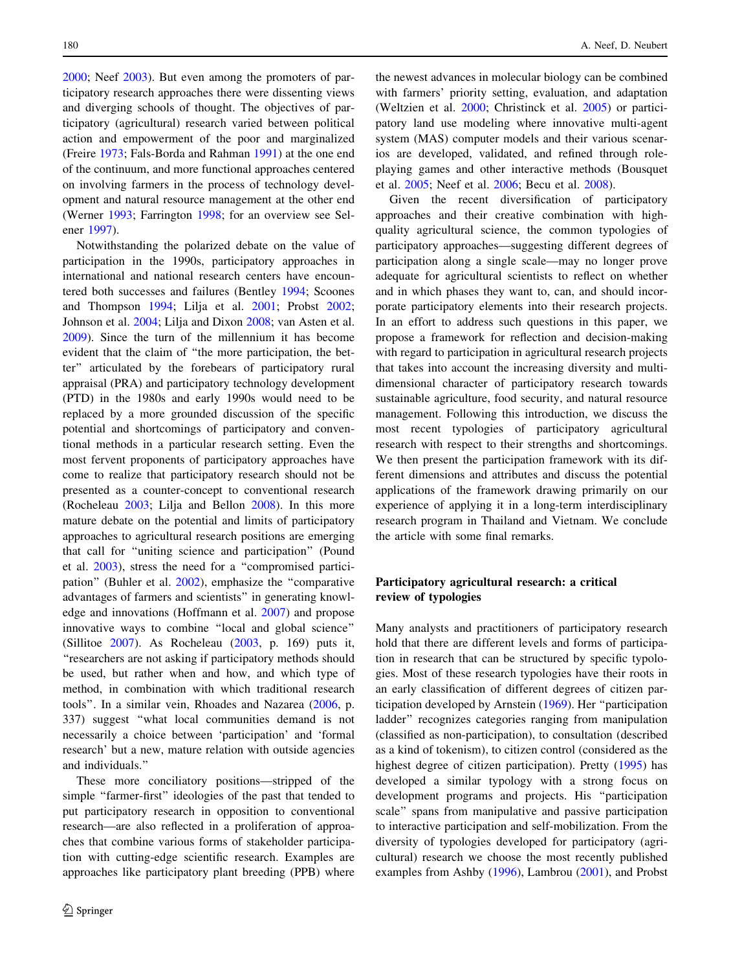[2000;](#page-14-0) Neef [2003](#page-14-0)). But even among the promoters of participatory research approaches there were dissenting views and diverging schools of thought. The objectives of participatory (agricultural) research varied between political action and empowerment of the poor and marginalized (Freire [1973;](#page-14-0) Fals-Borda and Rahman [1991\)](#page-14-0) at the one end of the continuum, and more functional approaches centered on involving farmers in the process of technology development and natural resource management at the other end (Werner [1993](#page-15-0); Farrington [1998;](#page-14-0) for an overview see Selener [1997\)](#page-15-0).

Notwithstanding the polarized debate on the value of participation in the 1990s, participatory approaches in international and national research centers have encountered both successes and failures (Bentley [1994](#page-13-0); Scoones and Thompson [1994;](#page-15-0) Lilja et al. [2001](#page-14-0); Probst [2002](#page-15-0); Johnson et al. [2004;](#page-14-0) Lilja and Dixon [2008;](#page-14-0) van Asten et al. [2009\)](#page-15-0). Since the turn of the millennium it has become evident that the claim of ''the more participation, the better'' articulated by the forebears of participatory rural appraisal (PRA) and participatory technology development (PTD) in the 1980s and early 1990s would need to be replaced by a more grounded discussion of the specific potential and shortcomings of participatory and conventional methods in a particular research setting. Even the most fervent proponents of participatory approaches have come to realize that participatory research should not be presented as a counter-concept to conventional research (Rocheleau [2003;](#page-15-0) Lilja and Bellon [2008\)](#page-14-0). In this more mature debate on the potential and limits of participatory approaches to agricultural research positions are emerging that call for ''uniting science and participation'' (Pound et al. [2003](#page-14-0)), stress the need for a ''compromised participation'' (Buhler et al. [2002](#page-13-0)), emphasize the ''comparative advantages of farmers and scientists'' in generating knowledge and innovations (Hoffmann et al. [2007\)](#page-14-0) and propose innovative ways to combine ''local and global science'' (Sillitoe [2007\)](#page-15-0). As Rocheleau ([2003,](#page-15-0) p. 169) puts it, ''researchers are not asking if participatory methods should be used, but rather when and how, and which type of method, in combination with which traditional research tools''. In a similar vein, Rhoades and Nazarea [\(2006](#page-15-0), p. 337) suggest ''what local communities demand is not necessarily a choice between 'participation' and 'formal research' but a new, mature relation with outside agencies and individuals.''

These more conciliatory positions—stripped of the simple ''farmer-first'' ideologies of the past that tended to put participatory research in opposition to conventional research—are also reflected in a proliferation of approaches that combine various forms of stakeholder participation with cutting-edge scientific research. Examples are approaches like participatory plant breeding (PPB) where

the newest advances in molecular biology can be combined with farmers' priority setting, evaluation, and adaptation (Weltzien et al. [2000;](#page-15-0) Christinck et al. [2005\)](#page-14-0) or participatory land use modeling where innovative multi-agent system (MAS) computer models and their various scenarios are developed, validated, and refined through roleplaying games and other interactive methods (Bousquet et al. [2005;](#page-13-0) Neef et al. [2006](#page-14-0); Becu et al. [2008](#page-13-0)).

Given the recent diversification of participatory approaches and their creative combination with highquality agricultural science, the common typologies of participatory approaches—suggesting different degrees of participation along a single scale—may no longer prove adequate for agricultural scientists to reflect on whether and in which phases they want to, can, and should incorporate participatory elements into their research projects. In an effort to address such questions in this paper, we propose a framework for reflection and decision-making with regard to participation in agricultural research projects that takes into account the increasing diversity and multidimensional character of participatory research towards sustainable agriculture, food security, and natural resource management. Following this introduction, we discuss the most recent typologies of participatory agricultural research with respect to their strengths and shortcomings. We then present the participation framework with its different dimensions and attributes and discuss the potential applications of the framework drawing primarily on our experience of applying it in a long-term interdisciplinary research program in Thailand and Vietnam. We conclude the article with some final remarks.

# Participatory agricultural research: a critical review of typologies

Many analysts and practitioners of participatory research hold that there are different levels and forms of participation in research that can be structured by specific typologies. Most of these research typologies have their roots in an early classification of different degrees of citizen participation developed by Arnstein [\(1969](#page-13-0)). Her ''participation ladder'' recognizes categories ranging from manipulation (classified as non-participation), to consultation (described as a kind of tokenism), to citizen control (considered as the highest degree of citizen participation). Pretty ([1995\)](#page-14-0) has developed a similar typology with a strong focus on development programs and projects. His ''participation scale'' spans from manipulative and passive participation to interactive participation and self-mobilization. From the diversity of typologies developed for participatory (agricultural) research we choose the most recently published examples from Ashby [\(1996](#page-13-0)), Lambrou ([2001\)](#page-14-0), and Probst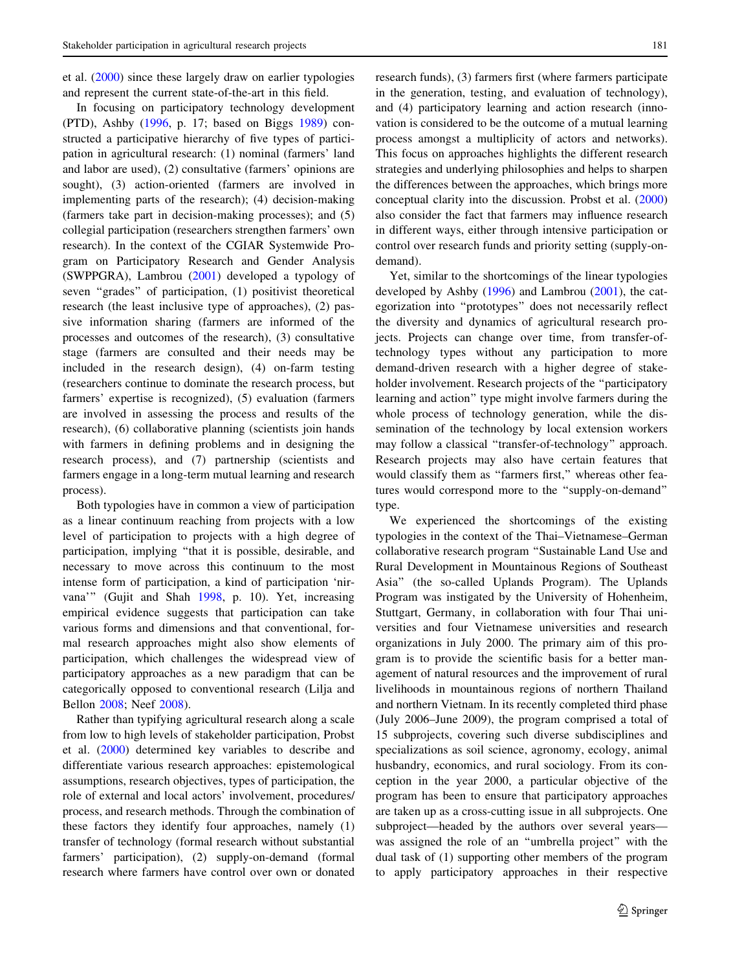et al. ([2000\)](#page-15-0) since these largely draw on earlier typologies and represent the current state-of-the-art in this field.

In focusing on participatory technology development (PTD), Ashby [\(1996](#page-13-0), p. 17; based on Biggs [1989](#page-13-0)) constructed a participative hierarchy of five types of participation in agricultural research: (1) nominal (farmers' land and labor are used), (2) consultative (farmers' opinions are sought), (3) action-oriented (farmers are involved in implementing parts of the research); (4) decision-making (farmers take part in decision-making processes); and (5) collegial participation (researchers strengthen farmers' own research). In the context of the CGIAR Systemwide Program on Participatory Research and Gender Analysis (SWPPGRA), Lambrou ([2001\)](#page-14-0) developed a typology of seven "grades" of participation, (1) positivist theoretical research (the least inclusive type of approaches), (2) passive information sharing (farmers are informed of the processes and outcomes of the research), (3) consultative stage (farmers are consulted and their needs may be included in the research design), (4) on-farm testing (researchers continue to dominate the research process, but farmers' expertise is recognized), (5) evaluation (farmers are involved in assessing the process and results of the research), (6) collaborative planning (scientists join hands with farmers in defining problems and in designing the research process), and (7) partnership (scientists and farmers engage in a long-term mutual learning and research process).

Both typologies have in common a view of participation as a linear continuum reaching from projects with a low level of participation to projects with a high degree of participation, implying ''that it is possible, desirable, and necessary to move across this continuum to the most intense form of participation, a kind of participation 'nirvana''' (Gujit and Shah [1998](#page-14-0), p. 10). Yet, increasing empirical evidence suggests that participation can take various forms and dimensions and that conventional, formal research approaches might also show elements of participation, which challenges the widespread view of participatory approaches as a new paradigm that can be categorically opposed to conventional research (Lilja and Bellon [2008](#page-14-0); Neef [2008\)](#page-14-0).

Rather than typifying agricultural research along a scale from low to high levels of stakeholder participation, Probst et al. [\(2000](#page-15-0)) determined key variables to describe and differentiate various research approaches: epistemological assumptions, research objectives, types of participation, the role of external and local actors' involvement, procedures/ process, and research methods. Through the combination of these factors they identify four approaches, namely (1) transfer of technology (formal research without substantial farmers' participation), (2) supply-on-demand (formal research where farmers have control over own or donated research funds), (3) farmers first (where farmers participate in the generation, testing, and evaluation of technology), and (4) participatory learning and action research (innovation is considered to be the outcome of a mutual learning process amongst a multiplicity of actors and networks). This focus on approaches highlights the different research strategies and underlying philosophies and helps to sharpen the differences between the approaches, which brings more conceptual clarity into the discussion. Probst et al. ([2000\)](#page-15-0) also consider the fact that farmers may influence research in different ways, either through intensive participation or control over research funds and priority setting (supply-ondemand).

Yet, similar to the shortcomings of the linear typologies developed by Ashby ([1996\)](#page-13-0) and Lambrou [\(2001](#page-14-0)), the categorization into ''prototypes'' does not necessarily reflect the diversity and dynamics of agricultural research projects. Projects can change over time, from transfer-oftechnology types without any participation to more demand-driven research with a higher degree of stakeholder involvement. Research projects of the ''participatory learning and action'' type might involve farmers during the whole process of technology generation, while the dissemination of the technology by local extension workers may follow a classical ''transfer-of-technology'' approach. Research projects may also have certain features that would classify them as "farmers first," whereas other features would correspond more to the ''supply-on-demand'' type.

We experienced the shortcomings of the existing typologies in the context of the Thai–Vietnamese–German collaborative research program ''Sustainable Land Use and Rural Development in Mountainous Regions of Southeast Asia'' (the so-called Uplands Program). The Uplands Program was instigated by the University of Hohenheim, Stuttgart, Germany, in collaboration with four Thai universities and four Vietnamese universities and research organizations in July 2000. The primary aim of this program is to provide the scientific basis for a better management of natural resources and the improvement of rural livelihoods in mountainous regions of northern Thailand and northern Vietnam. In its recently completed third phase (July 2006–June 2009), the program comprised a total of 15 subprojects, covering such diverse subdisciplines and specializations as soil science, agronomy, ecology, animal husbandry, economics, and rural sociology. From its conception in the year 2000, a particular objective of the program has been to ensure that participatory approaches are taken up as a cross-cutting issue in all subprojects. One subproject—headed by the authors over several years was assigned the role of an ''umbrella project'' with the dual task of (1) supporting other members of the program to apply participatory approaches in their respective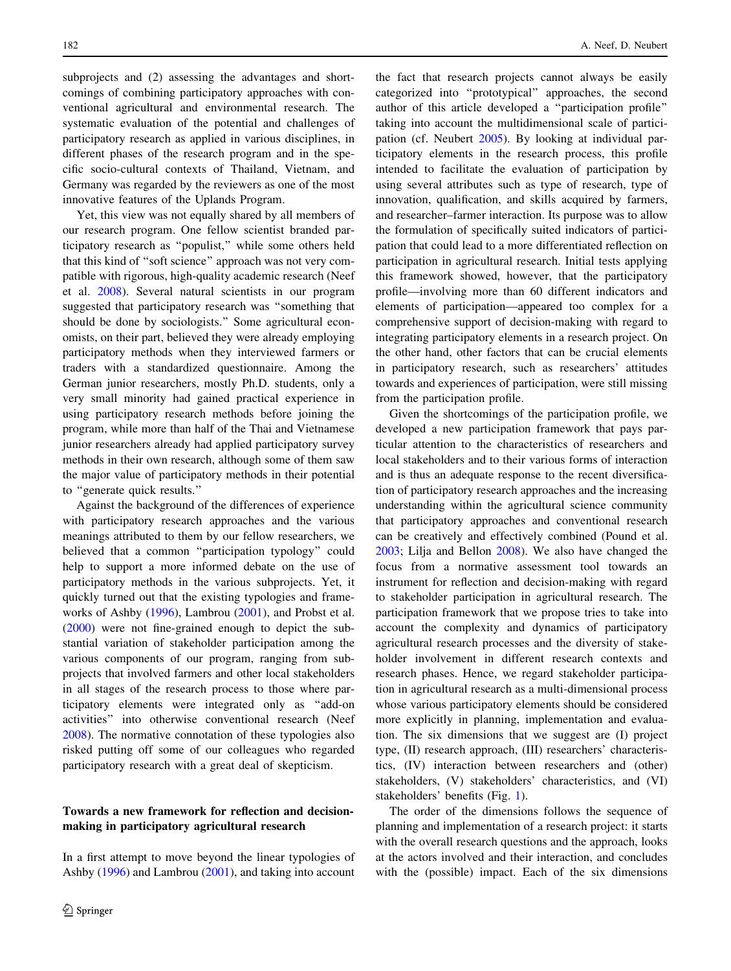subprojects and (2) assessing the advantages and shortcomings of combining participatory approaches with conventional agricultural and environmental research. The systematic evaluation of the potential and challenges of participatory research as applied in various disciplines, in different phases of the research program and in the specific socio-cultural contexts of Thailand, Vietnam, and Germany was regarded by the reviewers as one of the most innovative features of the Uplands Program.

Yet, this view was not equally shared by all members of our research program. One fellow scientist branded participatory research as ''populist,'' while some others held that this kind of ''soft science'' approach was not very compatible with rigorous, high-quality academic research (Neef et al. [2008](#page-14-0)). Several natural scientists in our program suggested that participatory research was ''something that should be done by sociologists.'' Some agricultural economists, on their part, believed they were already employing participatory methods when they interviewed farmers or traders with a standardized questionnaire. Among the German junior researchers, mostly Ph.D. students, only a very small minority had gained practical experience in using participatory research methods before joining the program, while more than half of the Thai and Vietnamese junior researchers already had applied participatory survey methods in their own research, although some of them saw the major value of participatory methods in their potential to ''generate quick results.''

Against the background of the differences of experience with participatory research approaches and the various meanings attributed to them by our fellow researchers, we believed that a common ''participation typology'' could help to support a more informed debate on the use of participatory methods in the various subprojects. Yet, it quickly turned out that the existing typologies and frameworks of Ashby [\(1996](#page-13-0)), Lambrou [\(2001](#page-14-0)), and Probst et al. [\(2000](#page-15-0)) were not fine-grained enough to depict the substantial variation of stakeholder participation among the various components of our program, ranging from subprojects that involved farmers and other local stakeholders in all stages of the research process to those where participatory elements were integrated only as ''add-on activities'' into otherwise conventional research (Neef [2008\)](#page-14-0). The normative connotation of these typologies also risked putting off some of our colleagues who regarded participatory research with a great deal of skepticism.

# Towards a new framework for reflection and decisionmaking in participatory agricultural research

In a first attempt to move beyond the linear typologies of Ashby ([1996\)](#page-13-0) and Lambrou ([2001\)](#page-14-0), and taking into account

the fact that research projects cannot always be easily categorized into ''prototypical'' approaches, the second author of this article developed a ''participation profile'' taking into account the multidimensional scale of participation (cf. Neubert [2005](#page-14-0)). By looking at individual participatory elements in the research process, this profile intended to facilitate the evaluation of participation by using several attributes such as type of research, type of innovation, qualification, and skills acquired by farmers, and researcher–farmer interaction. Its purpose was to allow the formulation of specifically suited indicators of participation that could lead to a more differentiated reflection on participation in agricultural research. Initial tests applying this framework showed, however, that the participatory profile—involving more than 60 different indicators and elements of participation—appeared too complex for a comprehensive support of decision-making with regard to integrating participatory elements in a research project. On the other hand, other factors that can be crucial elements in participatory research, such as researchers' attitudes towards and experiences of participation, were still missing from the participation profile.

Given the shortcomings of the participation profile, we developed a new participation framework that pays particular attention to the characteristics of researchers and local stakeholders and to their various forms of interaction and is thus an adequate response to the recent diversification of participatory research approaches and the increasing understanding within the agricultural science community that participatory approaches and conventional research can be creatively and effectively combined (Pound et al. [2003](#page-14-0); Lilja and Bellon [2008\)](#page-14-0). We also have changed the focus from a normative assessment tool towards an instrument for reflection and decision-making with regard to stakeholder participation in agricultural research. The participation framework that we propose tries to take into account the complexity and dynamics of participatory agricultural research processes and the diversity of stakeholder involvement in different research contexts and research phases. Hence, we regard stakeholder participation in agricultural research as a multi-dimensional process whose various participatory elements should be considered more explicitly in planning, implementation and evaluation. The six dimensions that we suggest are (I) project type, (II) research approach, (III) researchers' characteristics, (IV) interaction between researchers and (other) stakeholders, (V) stakeholders' characteristics, and (VI) stakeholders' benefits (Fig. [1\)](#page-4-0).

The order of the dimensions follows the sequence of planning and implementation of a research project: it starts with the overall research questions and the approach, looks at the actors involved and their interaction, and concludes with the (possible) impact. Each of the six dimensions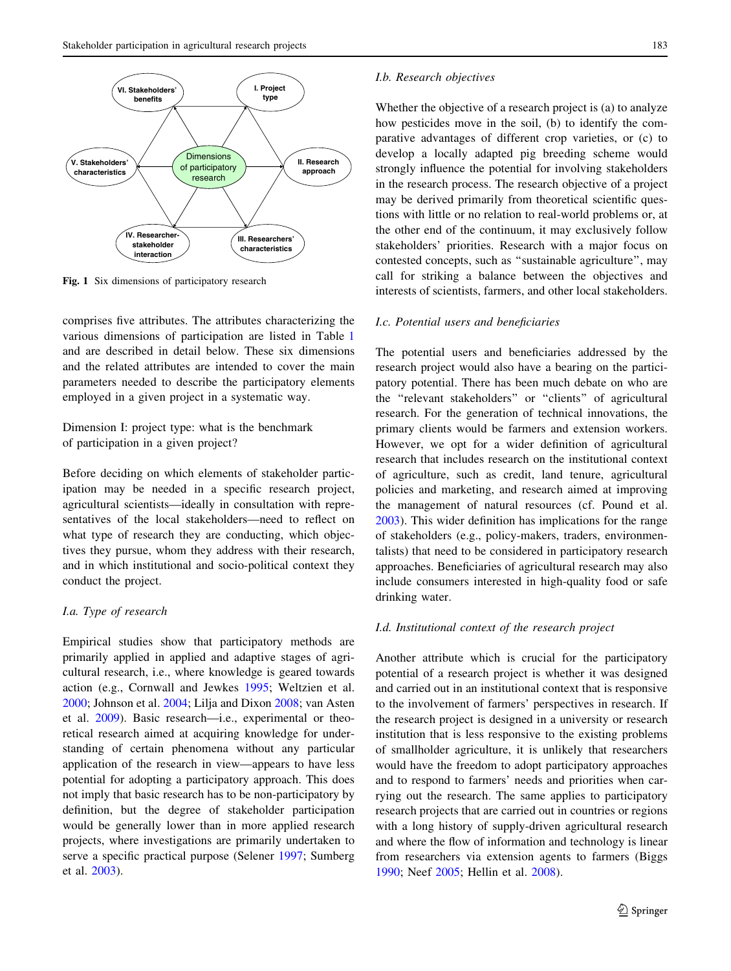<span id="page-4-0"></span>

Fig. 1 Six dimensions of participatory research

comprises five attributes. The attributes characterizing the various dimensions of participation are listed in Table [1](#page-5-0) and are described in detail below. These six dimensions and the related attributes are intended to cover the main parameters needed to describe the participatory elements employed in a given project in a systematic way.

Dimension I: project type: what is the benchmark of participation in a given project?

Before deciding on which elements of stakeholder participation may be needed in a specific research project, agricultural scientists—ideally in consultation with representatives of the local stakeholders—need to reflect on what type of research they are conducting, which objectives they pursue, whom they address with their research, and in which institutional and socio-political context they conduct the project.

## I.a. Type of research

Empirical studies show that participatory methods are primarily applied in applied and adaptive stages of agricultural research, i.e., where knowledge is geared towards action (e.g., Cornwall and Jewkes [1995](#page-14-0); Weltzien et al. [2000;](#page-15-0) Johnson et al. [2004](#page-14-0); Lilja and Dixon [2008;](#page-14-0) van Asten et al. [2009\)](#page-15-0). Basic research—i.e., experimental or theoretical research aimed at acquiring knowledge for understanding of certain phenomena without any particular application of the research in view—appears to have less potential for adopting a participatory approach. This does not imply that basic research has to be non-participatory by definition, but the degree of stakeholder participation would be generally lower than in more applied research projects, where investigations are primarily undertaken to serve a specific practical purpose (Selener [1997;](#page-15-0) Sumberg et al. [2003\)](#page-15-0).

#### I.b. Research objectives

Whether the objective of a research project is (a) to analyze how pesticides move in the soil, (b) to identify the comparative advantages of different crop varieties, or (c) to develop a locally adapted pig breeding scheme would strongly influence the potential for involving stakeholders in the research process. The research objective of a project may be derived primarily from theoretical scientific questions with little or no relation to real-world problems or, at the other end of the continuum, it may exclusively follow stakeholders' priorities. Research with a major focus on contested concepts, such as ''sustainable agriculture'', may call for striking a balance between the objectives and interests of scientists, farmers, and other local stakeholders.

#### I.c. Potential users and beneficiaries

The potential users and beneficiaries addressed by the research project would also have a bearing on the participatory potential. There has been much debate on who are the ''relevant stakeholders'' or ''clients'' of agricultural research. For the generation of technical innovations, the primary clients would be farmers and extension workers. However, we opt for a wider definition of agricultural research that includes research on the institutional context of agriculture, such as credit, land tenure, agricultural policies and marketing, and research aimed at improving the management of natural resources (cf. Pound et al. [2003](#page-14-0)). This wider definition has implications for the range of stakeholders (e.g., policy-makers, traders, environmentalists) that need to be considered in participatory research approaches. Beneficiaries of agricultural research may also include consumers interested in high-quality food or safe drinking water.

# I.d. Institutional context of the research project

Another attribute which is crucial for the participatory potential of a research project is whether it was designed and carried out in an institutional context that is responsive to the involvement of farmers' perspectives in research. If the research project is designed in a university or research institution that is less responsive to the existing problems of smallholder agriculture, it is unlikely that researchers would have the freedom to adopt participatory approaches and to respond to farmers' needs and priorities when carrying out the research. The same applies to participatory research projects that are carried out in countries or regions with a long history of supply-driven agricultural research and where the flow of information and technology is linear from researchers via extension agents to farmers (Biggs [1990](#page-13-0); Neef [2005;](#page-14-0) Hellin et al. [2008](#page-14-0)).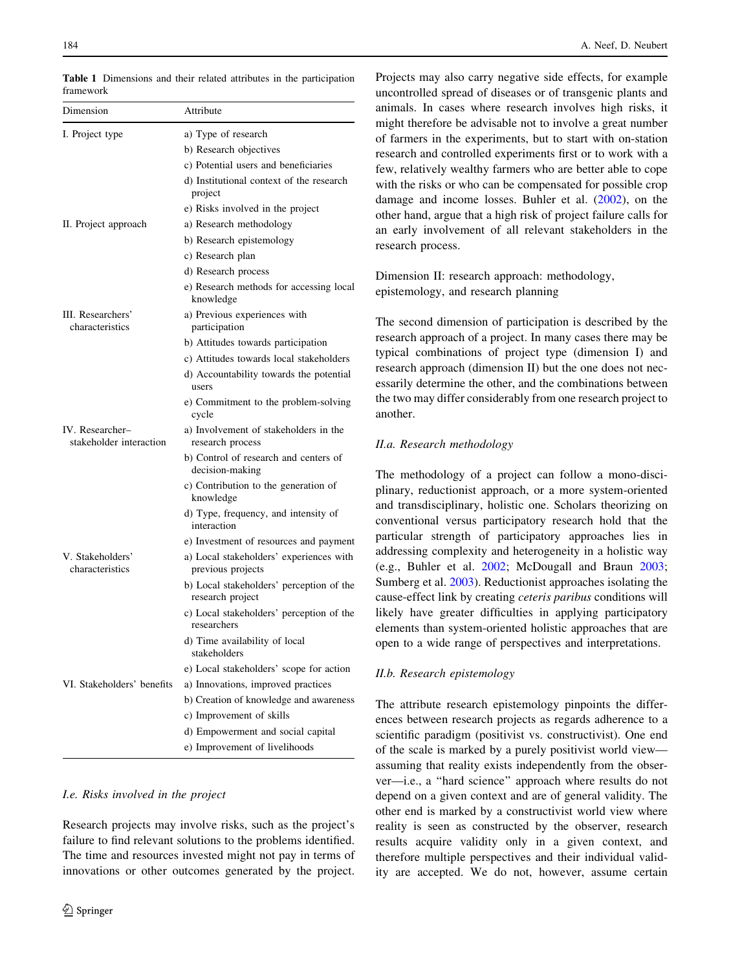| Dimension                                  | Attribute                                                    |
|--------------------------------------------|--------------------------------------------------------------|
| I. Project type                            | a) Type of research                                          |
|                                            | b) Research objectives                                       |
|                                            | c) Potential users and beneficiaries                         |
|                                            | d) Institutional context of the research<br>project          |
|                                            | e) Risks involved in the project                             |
| II. Project approach                       | a) Research methodology                                      |
|                                            | b) Research epistemology                                     |
|                                            | c) Research plan                                             |
|                                            | d) Research process                                          |
|                                            | e) Research methods for accessing local<br>knowledge         |
| III. Researchers'<br>characteristics       | a) Previous experiences with<br>participation                |
|                                            | b) Attitudes towards participation                           |
|                                            | c) Attitudes towards local stakeholders                      |
|                                            | d) Accountability towards the potential<br>users             |
|                                            | e) Commitment to the problem-solving<br>cycle                |
| IV. Researcher-<br>stakeholder interaction | a) Involvement of stakeholders in the<br>research process    |
|                                            | b) Control of research and centers of<br>decision-making     |
|                                            | c) Contribution to the generation of<br>knowledge            |
|                                            | d) Type, frequency, and intensity of<br>interaction          |
|                                            | e) Investment of resources and payment                       |
| V. Stakeholders'<br>characteristics        | a) Local stakeholders' experiences with<br>previous projects |
|                                            | b) Local stakeholders' perception of the<br>research project |
|                                            | c) Local stakeholders' perception of the<br>researchers      |
|                                            | d) Time availability of local<br>stakeholders                |
|                                            | e) Local stakeholders' scope for action                      |
| VI. Stakeholders' benefits                 | a) Innovations, improved practices                           |
|                                            | b) Creation of knowledge and awareness                       |
|                                            | c) Improvement of skills                                     |
|                                            | d) Empowerment and social capital                            |
|                                            | e) Improvement of livelihoods                                |

<span id="page-5-0"></span>Table 1 Dimensions and their related attributes in the participation framework

# I.e. Risks involved in the project

Research projects may involve risks, such as the project's failure to find relevant solutions to the problems identified. The time and resources invested might not pay in terms of innovations or other outcomes generated by the project.

Projects may also carry negative side effects, for example uncontrolled spread of diseases or of transgenic plants and animals. In cases where research involves high risks, it might therefore be advisable not to involve a great number of farmers in the experiments, but to start with on-station research and controlled experiments first or to work with a few, relatively wealthy farmers who are better able to cope with the risks or who can be compensated for possible crop damage and income losses. Buhler et al. [\(2002](#page-13-0)), on the other hand, argue that a high risk of project failure calls for an early involvement of all relevant stakeholders in the research process.

Dimension II: research approach: methodology, epistemology, and research planning

The second dimension of participation is described by the research approach of a project. In many cases there may be typical combinations of project type (dimension I) and research approach (dimension II) but the one does not necessarily determine the other, and the combinations between the two may differ considerably from one research project to another.

## II.a. Research methodology

The methodology of a project can follow a mono-disciplinary, reductionist approach, or a more system-oriented and transdisciplinary, holistic one. Scholars theorizing on conventional versus participatory research hold that the particular strength of participatory approaches lies in addressing complexity and heterogeneity in a holistic way (e.g., Buhler et al. [2002](#page-13-0); McDougall and Braun [2003](#page-14-0); Sumberg et al. [2003](#page-15-0)). Reductionist approaches isolating the cause-effect link by creating ceteris paribus conditions will likely have greater difficulties in applying participatory elements than system-oriented holistic approaches that are open to a wide range of perspectives and interpretations.

# II.b. Research epistemology

The attribute research epistemology pinpoints the differences between research projects as regards adherence to a scientific paradigm (positivist vs. constructivist). One end of the scale is marked by a purely positivist world view assuming that reality exists independently from the observer—i.e., a ''hard science'' approach where results do not depend on a given context and are of general validity. The other end is marked by a constructivist world view where reality is seen as constructed by the observer, research results acquire validity only in a given context, and therefore multiple perspectives and their individual validity are accepted. We do not, however, assume certain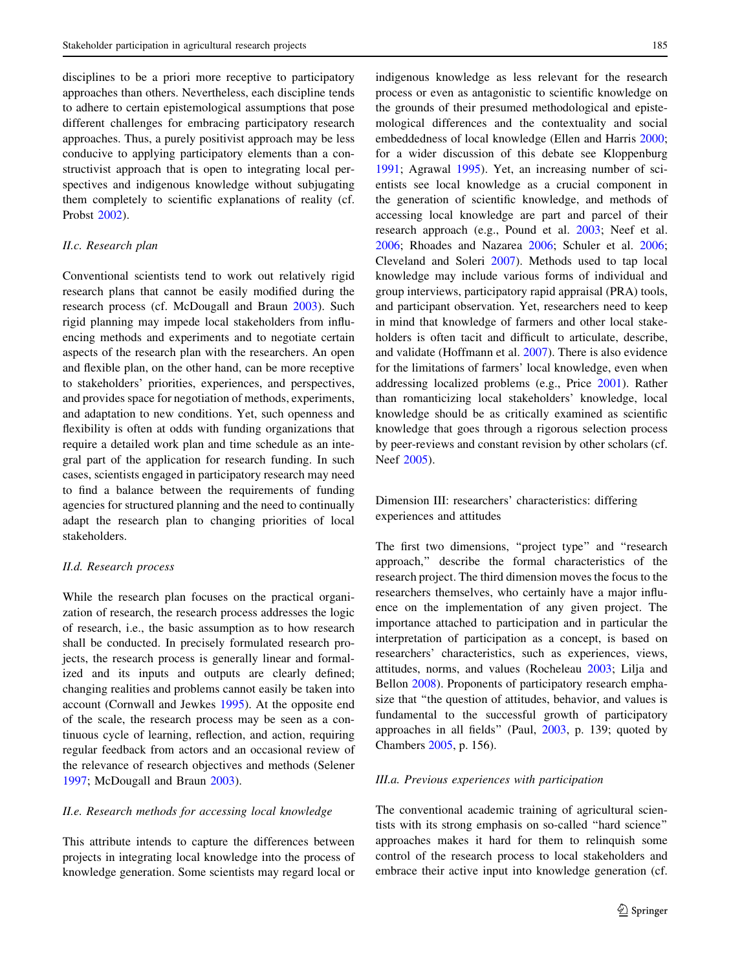disciplines to be a priori more receptive to participatory approaches than others. Nevertheless, each discipline tends to adhere to certain epistemological assumptions that pose different challenges for embracing participatory research approaches. Thus, a purely positivist approach may be less conducive to applying participatory elements than a constructivist approach that is open to integrating local perspectives and indigenous knowledge without subjugating them completely to scientific explanations of reality (cf. Probst [2002\)](#page-15-0).

# II.c. Research plan

Conventional scientists tend to work out relatively rigid research plans that cannot be easily modified during the research process (cf. McDougall and Braun [2003\)](#page-14-0). Such rigid planning may impede local stakeholders from influencing methods and experiments and to negotiate certain aspects of the research plan with the researchers. An open and flexible plan, on the other hand, can be more receptive to stakeholders' priorities, experiences, and perspectives, and provides space for negotiation of methods, experiments, and adaptation to new conditions. Yet, such openness and flexibility is often at odds with funding organizations that require a detailed work plan and time schedule as an integral part of the application for research funding. In such cases, scientists engaged in participatory research may need to find a balance between the requirements of funding agencies for structured planning and the need to continually adapt the research plan to changing priorities of local stakeholders.

## II.d. Research process

While the research plan focuses on the practical organization of research, the research process addresses the logic of research, i.e., the basic assumption as to how research shall be conducted. In precisely formulated research projects, the research process is generally linear and formalized and its inputs and outputs are clearly defined; changing realities and problems cannot easily be taken into account (Cornwall and Jewkes [1995](#page-14-0)). At the opposite end of the scale, the research process may be seen as a continuous cycle of learning, reflection, and action, requiring regular feedback from actors and an occasional review of the relevance of research objectives and methods (Selener [1997;](#page-15-0) McDougall and Braun [2003](#page-14-0)).

### II.e. Research methods for accessing local knowledge

This attribute intends to capture the differences between projects in integrating local knowledge into the process of knowledge generation. Some scientists may regard local or indigenous knowledge as less relevant for the research process or even as antagonistic to scientific knowledge on the grounds of their presumed methodological and epistemological differences and the contextuality and social embeddedness of local knowledge (Ellen and Harris [2000](#page-14-0); for a wider discussion of this debate see Kloppenburg [1991](#page-14-0); Agrawal [1995\)](#page-13-0). Yet, an increasing number of scientists see local knowledge as a crucial component in the generation of scientific knowledge, and methods of accessing local knowledge are part and parcel of their research approach (e.g., Pound et al. [2003;](#page-14-0) Neef et al. [2006](#page-14-0); Rhoades and Nazarea [2006;](#page-15-0) Schuler et al. [2006](#page-15-0); Cleveland and Soleri [2007](#page-14-0)). Methods used to tap local knowledge may include various forms of individual and group interviews, participatory rapid appraisal (PRA) tools, and participant observation. Yet, researchers need to keep in mind that knowledge of farmers and other local stakeholders is often tacit and difficult to articulate, describe, and validate (Hoffmann et al. [2007](#page-14-0)). There is also evidence for the limitations of farmers' local knowledge, even when addressing localized problems (e.g., Price [2001\)](#page-14-0). Rather than romanticizing local stakeholders' knowledge, local knowledge should be as critically examined as scientific knowledge that goes through a rigorous selection process by peer-reviews and constant revision by other scholars (cf. Neef [2005\)](#page-14-0).

# Dimension III: researchers' characteristics: differing experiences and attitudes

The first two dimensions, "project type" and "research" approach,'' describe the formal characteristics of the research project. The third dimension moves the focus to the researchers themselves, who certainly have a major influence on the implementation of any given project. The importance attached to participation and in particular the interpretation of participation as a concept, is based on researchers' characteristics, such as experiences, views, attitudes, norms, and values (Rocheleau [2003;](#page-15-0) Lilja and Bellon [2008\)](#page-14-0). Proponents of participatory research emphasize that ''the question of attitudes, behavior, and values is fundamental to the successful growth of participatory approaches in all fields'' (Paul, [2003,](#page-14-0) p. 139; quoted by Chambers [2005](#page-13-0), p. 156).

### III.a. Previous experiences with participation

The conventional academic training of agricultural scientists with its strong emphasis on so-called ''hard science'' approaches makes it hard for them to relinquish some control of the research process to local stakeholders and embrace their active input into knowledge generation (cf.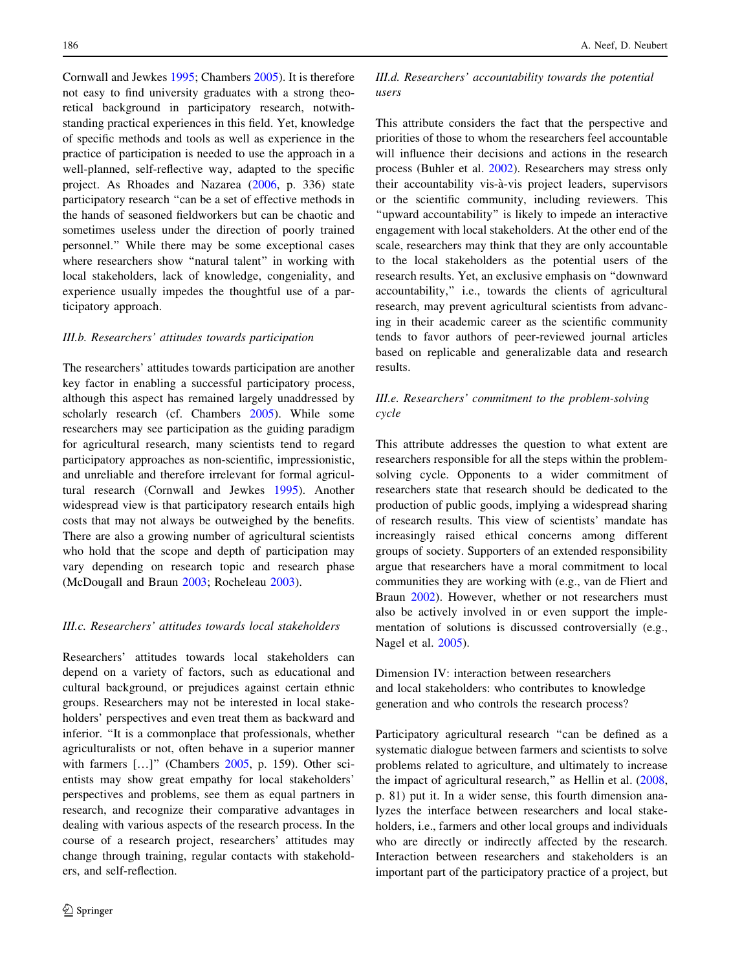Cornwall and Jewkes [1995;](#page-14-0) Chambers [2005\)](#page-13-0). It is therefore not easy to find university graduates with a strong theoretical background in participatory research, notwithstanding practical experiences in this field. Yet, knowledge of specific methods and tools as well as experience in the practice of participation is needed to use the approach in a well-planned, self-reflective way, adapted to the specific project. As Rhoades and Nazarea ([2006,](#page-15-0) p. 336) state participatory research ''can be a set of effective methods in the hands of seasoned fieldworkers but can be chaotic and sometimes useless under the direction of poorly trained personnel.'' While there may be some exceptional cases where researchers show "natural talent" in working with local stakeholders, lack of knowledge, congeniality, and experience usually impedes the thoughtful use of a participatory approach.

# III.b. Researchers' attitudes towards participation

The researchers' attitudes towards participation are another key factor in enabling a successful participatory process, although this aspect has remained largely unaddressed by scholarly research (cf. Chambers [2005\)](#page-13-0). While some researchers may see participation as the guiding paradigm for agricultural research, many scientists tend to regard participatory approaches as non-scientific, impressionistic, and unreliable and therefore irrelevant for formal agricultural research (Cornwall and Jewkes [1995](#page-14-0)). Another widespread view is that participatory research entails high costs that may not always be outweighed by the benefits. There are also a growing number of agricultural scientists who hold that the scope and depth of participation may vary depending on research topic and research phase (McDougall and Braun [2003;](#page-14-0) Rocheleau [2003](#page-15-0)).

## III.c. Researchers' attitudes towards local stakeholders

Researchers' attitudes towards local stakeholders can depend on a variety of factors, such as educational and cultural background, or prejudices against certain ethnic groups. Researchers may not be interested in local stakeholders' perspectives and even treat them as backward and inferior. "It is a commonplace that professionals, whether agriculturalists or not, often behave in a superior manner with farmers [...]" (Chambers [2005](#page-13-0), p. 159). Other scientists may show great empathy for local stakeholders' perspectives and problems, see them as equal partners in research, and recognize their comparative advantages in dealing with various aspects of the research process. In the course of a research project, researchers' attitudes may change through training, regular contacts with stakeholders, and self-reflection.

# III.d. Researchers' accountability towards the potential users

This attribute considers the fact that the perspective and priorities of those to whom the researchers feel accountable will influence their decisions and actions in the research process (Buhler et al. [2002](#page-13-0)). Researchers may stress only their accountability vis-à-vis project leaders, supervisors or the scientific community, including reviewers. This "upward accountability" is likely to impede an interactive engagement with local stakeholders. At the other end of the scale, researchers may think that they are only accountable to the local stakeholders as the potential users of the research results. Yet, an exclusive emphasis on ''downward accountability,'' i.e., towards the clients of agricultural research, may prevent agricultural scientists from advancing in their academic career as the scientific community tends to favor authors of peer-reviewed journal articles based on replicable and generalizable data and research results.

# III.e. Researchers' commitment to the problem-solving cycle

This attribute addresses the question to what extent are researchers responsible for all the steps within the problemsolving cycle. Opponents to a wider commitment of researchers state that research should be dedicated to the production of public goods, implying a widespread sharing of research results. This view of scientists' mandate has increasingly raised ethical concerns among different groups of society. Supporters of an extended responsibility argue that researchers have a moral commitment to local communities they are working with (e.g., van de Fliert and Braun [2002\)](#page-15-0). However, whether or not researchers must also be actively involved in or even support the implementation of solutions is discussed controversially (e.g., Nagel et al. [2005](#page-14-0)).

Dimension IV: interaction between researchers and local stakeholders: who contributes to knowledge generation and who controls the research process?

Participatory agricultural research "can be defined as a systematic dialogue between farmers and scientists to solve problems related to agriculture, and ultimately to increase the impact of agricultural research,'' as Hellin et al. ([2008,](#page-14-0) p. 81) put it. In a wider sense, this fourth dimension analyzes the interface between researchers and local stakeholders, i.e., farmers and other local groups and individuals who are directly or indirectly affected by the research. Interaction between researchers and stakeholders is an important part of the participatory practice of a project, but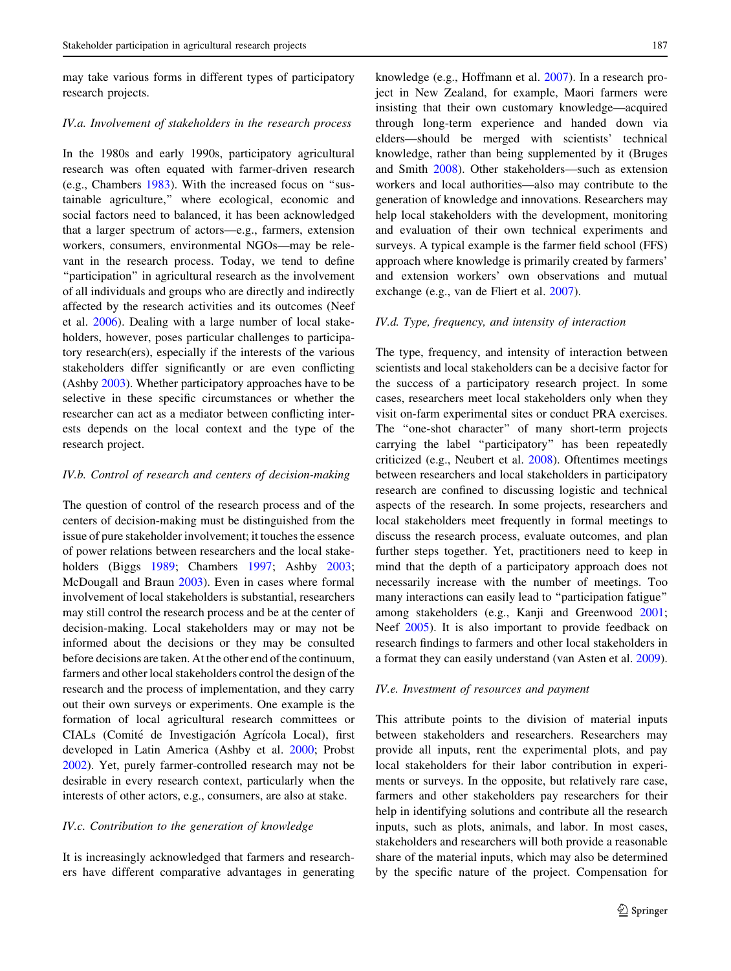may take various forms in different types of participatory research projects.

## IV.a. Involvement of stakeholders in the research process

In the 1980s and early 1990s, participatory agricultural research was often equated with farmer-driven research (e.g., Chambers [1983\)](#page-13-0). With the increased focus on ''sustainable agriculture,'' where ecological, economic and social factors need to balanced, it has been acknowledged that a larger spectrum of actors—e.g., farmers, extension workers, consumers, environmental NGOs—may be relevant in the research process. Today, we tend to define "participation" in agricultural research as the involvement of all individuals and groups who are directly and indirectly affected by the research activities and its outcomes (Neef et al. [2006\)](#page-14-0). Dealing with a large number of local stakeholders, however, poses particular challenges to participatory research(ers), especially if the interests of the various stakeholders differ significantly or are even conflicting (Ashby [2003\)](#page-13-0). Whether participatory approaches have to be selective in these specific circumstances or whether the researcher can act as a mediator between conflicting interests depends on the local context and the type of the research project.

#### IV.b. Control of research and centers of decision-making

The question of control of the research process and of the centers of decision-making must be distinguished from the issue of pure stakeholder involvement; it touches the essence of power relations between researchers and the local stake-holders (Biggs [1989;](#page-13-0) Chambers [1997;](#page-13-0) Ashby [2003](#page-13-0); McDougall and Braun [2003\)](#page-14-0). Even in cases where formal involvement of local stakeholders is substantial, researchers may still control the research process and be at the center of decision-making. Local stakeholders may or may not be informed about the decisions or they may be consulted before decisions are taken. At the other end of the continuum, farmers and other local stakeholders control the design of the research and the process of implementation, and they carry out their own surveys or experiments. One example is the formation of local agricultural research committees or CIALs (Comité de Investigación Agrícola Local), first developed in Latin America (Ashby et al. [2000](#page-13-0); Probst [2002\)](#page-15-0). Yet, purely farmer-controlled research may not be desirable in every research context, particularly when the interests of other actors, e.g., consumers, are also at stake.

## IV.c. Contribution to the generation of knowledge

It is increasingly acknowledged that farmers and researchers have different comparative advantages in generating knowledge (e.g., Hoffmann et al. [2007\)](#page-14-0). In a research project in New Zealand, for example, Maori farmers were insisting that their own customary knowledge—acquired through long-term experience and handed down via elders—should be merged with scientists' technical knowledge, rather than being supplemented by it (Bruges and Smith [2008](#page-13-0)). Other stakeholders—such as extension workers and local authorities—also may contribute to the generation of knowledge and innovations. Researchers may help local stakeholders with the development, monitoring and evaluation of their own technical experiments and surveys. A typical example is the farmer field school (FFS) approach where knowledge is primarily created by farmers' and extension workers' own observations and mutual exchange (e.g., van de Fliert et al. [2007\)](#page-15-0).

#### IV.d. Type, frequency, and intensity of interaction

The type, frequency, and intensity of interaction between scientists and local stakeholders can be a decisive factor for the success of a participatory research project. In some cases, researchers meet local stakeholders only when they visit on-farm experimental sites or conduct PRA exercises. The "one-shot character" of many short-term projects carrying the label ''participatory'' has been repeatedly criticized (e.g., Neubert et al. [2008\)](#page-14-0). Oftentimes meetings between researchers and local stakeholders in participatory research are confined to discussing logistic and technical aspects of the research. In some projects, researchers and local stakeholders meet frequently in formal meetings to discuss the research process, evaluate outcomes, and plan further steps together. Yet, practitioners need to keep in mind that the depth of a participatory approach does not necessarily increase with the number of meetings. Too many interactions can easily lead to "participation fatigue" among stakeholders (e.g., Kanji and Greenwood [2001](#page-14-0); Neef  $2005$ ). It is also important to provide feedback on research findings to farmers and other local stakeholders in a format they can easily understand (van Asten et al. [2009](#page-15-0)).

# IV.e. Investment of resources and payment

This attribute points to the division of material inputs between stakeholders and researchers. Researchers may provide all inputs, rent the experimental plots, and pay local stakeholders for their labor contribution in experiments or surveys. In the opposite, but relatively rare case, farmers and other stakeholders pay researchers for their help in identifying solutions and contribute all the research inputs, such as plots, animals, and labor. In most cases, stakeholders and researchers will both provide a reasonable share of the material inputs, which may also be determined by the specific nature of the project. Compensation for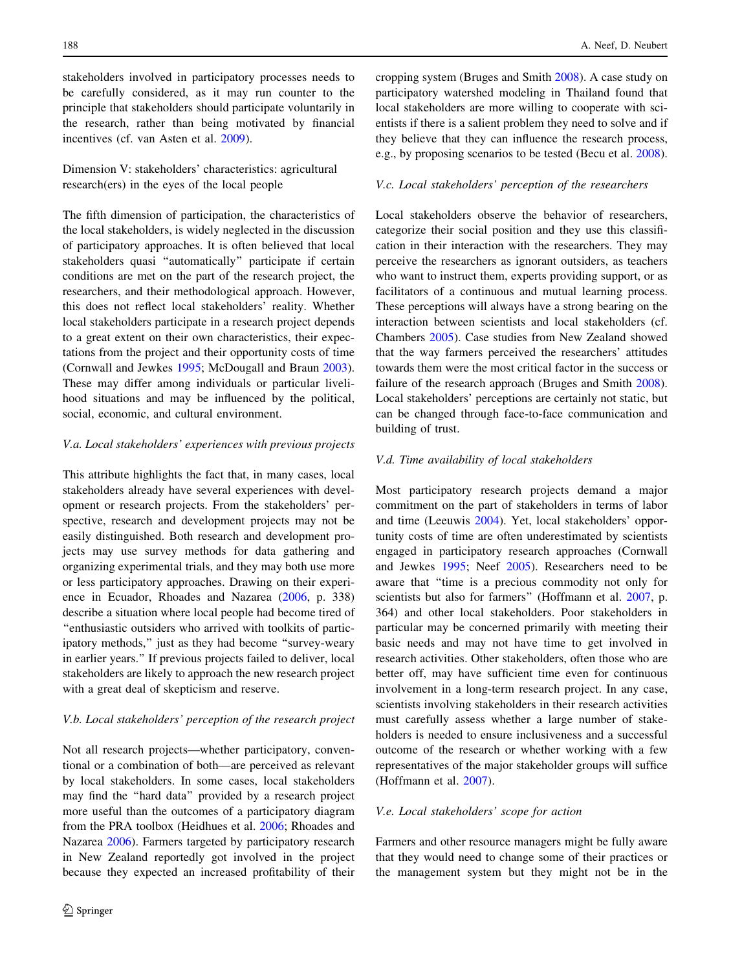stakeholders involved in participatory processes needs to be carefully considered, as it may run counter to the principle that stakeholders should participate voluntarily in the research, rather than being motivated by financial incentives (cf. van Asten et al. [2009](#page-15-0)).

Dimension V: stakeholders' characteristics: agricultural research(ers) in the eyes of the local people

The fifth dimension of participation, the characteristics of the local stakeholders, is widely neglected in the discussion of participatory approaches. It is often believed that local stakeholders quasi ''automatically'' participate if certain conditions are met on the part of the research project, the researchers, and their methodological approach. However, this does not reflect local stakeholders' reality. Whether local stakeholders participate in a research project depends to a great extent on their own characteristics, their expectations from the project and their opportunity costs of time (Cornwall and Jewkes [1995;](#page-14-0) McDougall and Braun [2003](#page-14-0)). These may differ among individuals or particular livelihood situations and may be influenced by the political, social, economic, and cultural environment.

# V.a. Local stakeholders' experiences with previous projects

This attribute highlights the fact that, in many cases, local stakeholders already have several experiences with development or research projects. From the stakeholders' perspective, research and development projects may not be easily distinguished. Both research and development projects may use survey methods for data gathering and organizing experimental trials, and they may both use more or less participatory approaches. Drawing on their experience in Ecuador, Rhoades and Nazarea [\(2006](#page-15-0), p. 338) describe a situation where local people had become tired of ''enthusiastic outsiders who arrived with toolkits of participatory methods,'' just as they had become ''survey-weary in earlier years.'' If previous projects failed to deliver, local stakeholders are likely to approach the new research project with a great deal of skepticism and reserve.

#### V.b. Local stakeholders' perception of the research project

Not all research projects—whether participatory, conventional or a combination of both—are perceived as relevant by local stakeholders. In some cases, local stakeholders may find the ''hard data'' provided by a research project more useful than the outcomes of a participatory diagram from the PRA toolbox (Heidhues et al. [2006;](#page-14-0) Rhoades and Nazarea [2006](#page-15-0)). Farmers targeted by participatory research in New Zealand reportedly got involved in the project because they expected an increased profitability of their cropping system (Bruges and Smith [2008](#page-13-0)). A case study on participatory watershed modeling in Thailand found that local stakeholders are more willing to cooperate with scientists if there is a salient problem they need to solve and if they believe that they can influence the research process, e.g., by proposing scenarios to be tested (Becu et al. [2008](#page-13-0)).

#### V.c. Local stakeholders' perception of the researchers

Local stakeholders observe the behavior of researchers, categorize their social position and they use this classification in their interaction with the researchers. They may perceive the researchers as ignorant outsiders, as teachers who want to instruct them, experts providing support, or as facilitators of a continuous and mutual learning process. These perceptions will always have a strong bearing on the interaction between scientists and local stakeholders (cf. Chambers [2005](#page-13-0)). Case studies from New Zealand showed that the way farmers perceived the researchers' attitudes towards them were the most critical factor in the success or failure of the research approach (Bruges and Smith [2008](#page-13-0)). Local stakeholders' perceptions are certainly not static, but can be changed through face-to-face communication and building of trust.

# V.d. Time availability of local stakeholders

Most participatory research projects demand a major commitment on the part of stakeholders in terms of labor and time (Leeuwis [2004\)](#page-14-0). Yet, local stakeholders' opportunity costs of time are often underestimated by scientists engaged in participatory research approaches (Cornwall and Jewkes [1995;](#page-14-0) Neef [2005\)](#page-14-0). Researchers need to be aware that ''time is a precious commodity not only for scientists but also for farmers'' (Hoffmann et al. [2007,](#page-14-0) p. 364) and other local stakeholders. Poor stakeholders in particular may be concerned primarily with meeting their basic needs and may not have time to get involved in research activities. Other stakeholders, often those who are better off, may have sufficient time even for continuous involvement in a long-term research project. In any case, scientists involving stakeholders in their research activities must carefully assess whether a large number of stakeholders is needed to ensure inclusiveness and a successful outcome of the research or whether working with a few representatives of the major stakeholder groups will suffice (Hoffmann et al. [2007\)](#page-14-0).

### V.e. Local stakeholders' scope for action

Farmers and other resource managers might be fully aware that they would need to change some of their practices or the management system but they might not be in the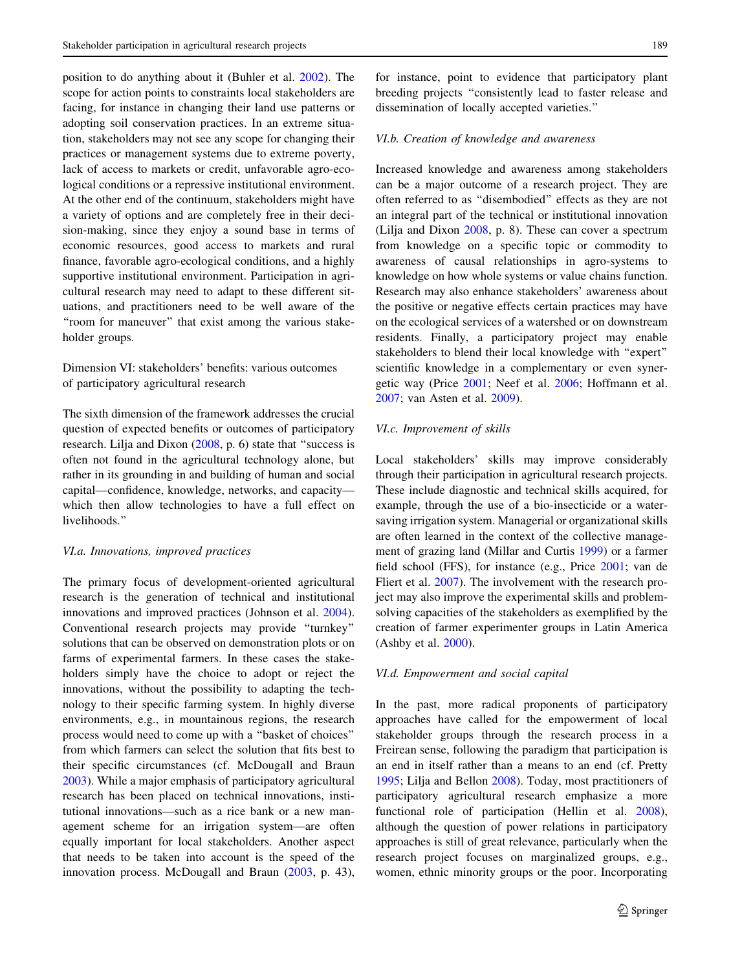position to do anything about it (Buhler et al. [2002](#page-13-0)). The scope for action points to constraints local stakeholders are facing, for instance in changing their land use patterns or adopting soil conservation practices. In an extreme situation, stakeholders may not see any scope for changing their practices or management systems due to extreme poverty, lack of access to markets or credit, unfavorable agro-ecological conditions or a repressive institutional environment. At the other end of the continuum, stakeholders might have a variety of options and are completely free in their decision-making, since they enjoy a sound base in terms of economic resources, good access to markets and rural finance, favorable agro-ecological conditions, and a highly supportive institutional environment. Participation in agricultural research may need to adapt to these different situations, and practitioners need to be well aware of the "room for maneuver" that exist among the various stakeholder groups.

Dimension VI: stakeholders' benefits: various outcomes of participatory agricultural research

The sixth dimension of the framework addresses the crucial question of expected benefits or outcomes of participatory research. Lilja and Dixon [\(2008](#page-14-0), p. 6) state that ''success is often not found in the agricultural technology alone, but rather in its grounding in and building of human and social capital—confidence, knowledge, networks, and capacity which then allow technologies to have a full effect on livelihoods.''

## VI.a. Innovations, improved practices

The primary focus of development-oriented agricultural research is the generation of technical and institutional innovations and improved practices (Johnson et al. [2004](#page-14-0)). Conventional research projects may provide ''turnkey'' solutions that can be observed on demonstration plots or on farms of experimental farmers. In these cases the stakeholders simply have the choice to adopt or reject the innovations, without the possibility to adapting the technology to their specific farming system. In highly diverse environments, e.g., in mountainous regions, the research process would need to come up with a ''basket of choices'' from which farmers can select the solution that fits best to their specific circumstances (cf. McDougall and Braun [2003\)](#page-14-0). While a major emphasis of participatory agricultural research has been placed on technical innovations, institutional innovations—such as a rice bank or a new management scheme for an irrigation system—are often equally important for local stakeholders. Another aspect that needs to be taken into account is the speed of the innovation process. McDougall and Braun [\(2003,](#page-14-0) p. 43),

for instance, point to evidence that participatory plant breeding projects ''consistently lead to faster release and dissemination of locally accepted varieties.''

## VI.b. Creation of knowledge and awareness

Increased knowledge and awareness among stakeholders can be a major outcome of a research project. They are often referred to as ''disembodied'' effects as they are not an integral part of the technical or institutional innovation (Lilja and Dixon [2008](#page-14-0), p. 8). These can cover a spectrum from knowledge on a specific topic or commodity to awareness of causal relationships in agro-systems to knowledge on how whole systems or value chains function. Research may also enhance stakeholders' awareness about the positive or negative effects certain practices may have on the ecological services of a watershed or on downstream residents. Finally, a participatory project may enable stakeholders to blend their local knowledge with ''expert'' scientific knowledge in a complementary or even synergetic way (Price [2001;](#page-14-0) Neef et al. [2006;](#page-14-0) Hoffmann et al. [2007](#page-14-0); van Asten et al. [2009](#page-15-0)).

#### VI.c. Improvement of skills

Local stakeholders' skills may improve considerably through their participation in agricultural research projects. These include diagnostic and technical skills acquired, for example, through the use of a bio-insecticide or a watersaving irrigation system. Managerial or organizational skills are often learned in the context of the collective management of grazing land (Millar and Curtis [1999\)](#page-14-0) or a farmer field school (FFS), for instance (e.g., Price [2001](#page-14-0); van de Fliert et al. [2007](#page-15-0)). The involvement with the research project may also improve the experimental skills and problemsolving capacities of the stakeholders as exemplified by the creation of farmer experimenter groups in Latin America (Ashby et al. [2000](#page-13-0)).

#### VI.d. Empowerment and social capital

In the past, more radical proponents of participatory approaches have called for the empowerment of local stakeholder groups through the research process in a Freirean sense, following the paradigm that participation is an end in itself rather than a means to an end (cf. Pretty [1995](#page-14-0); Lilja and Bellon [2008\)](#page-14-0). Today, most practitioners of participatory agricultural research emphasize a more functional role of participation (Hellin et al. [2008](#page-14-0)), although the question of power relations in participatory approaches is still of great relevance, particularly when the research project focuses on marginalized groups, e.g., women, ethnic minority groups or the poor. Incorporating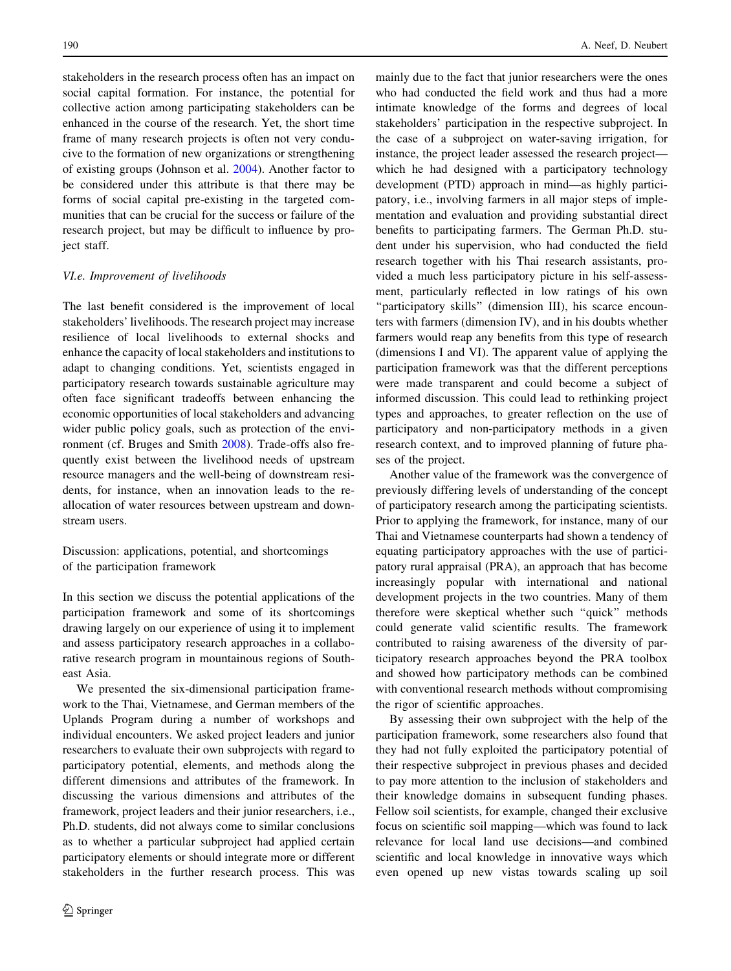stakeholders in the research process often has an impact on social capital formation. For instance, the potential for collective action among participating stakeholders can be enhanced in the course of the research. Yet, the short time frame of many research projects is often not very conducive to the formation of new organizations or strengthening of existing groups (Johnson et al. [2004\)](#page-14-0). Another factor to be considered under this attribute is that there may be forms of social capital pre-existing in the targeted communities that can be crucial for the success or failure of the research project, but may be difficult to influence by project staff.

## VI.e. Improvement of livelihoods

The last benefit considered is the improvement of local stakeholders' livelihoods. The research project may increase resilience of local livelihoods to external shocks and enhance the capacity of local stakeholders and institutions to adapt to changing conditions. Yet, scientists engaged in participatory research towards sustainable agriculture may often face significant tradeoffs between enhancing the economic opportunities of local stakeholders and advancing wider public policy goals, such as protection of the environment (cf. Bruges and Smith [2008\)](#page-13-0). Trade-offs also frequently exist between the livelihood needs of upstream resource managers and the well-being of downstream residents, for instance, when an innovation leads to the reallocation of water resources between upstream and downstream users.

Discussion: applications, potential, and shortcomings of the participation framework

In this section we discuss the potential applications of the participation framework and some of its shortcomings drawing largely on our experience of using it to implement and assess participatory research approaches in a collaborative research program in mountainous regions of Southeast Asia.

We presented the six-dimensional participation framework to the Thai, Vietnamese, and German members of the Uplands Program during a number of workshops and individual encounters. We asked project leaders and junior researchers to evaluate their own subprojects with regard to participatory potential, elements, and methods along the different dimensions and attributes of the framework. In discussing the various dimensions and attributes of the framework, project leaders and their junior researchers, i.e., Ph.D. students, did not always come to similar conclusions as to whether a particular subproject had applied certain participatory elements or should integrate more or different stakeholders in the further research process. This was

mainly due to the fact that junior researchers were the ones who had conducted the field work and thus had a more intimate knowledge of the forms and degrees of local stakeholders' participation in the respective subproject. In the case of a subproject on water-saving irrigation, for instance, the project leader assessed the research project which he had designed with a participatory technology development (PTD) approach in mind—as highly participatory, i.e., involving farmers in all major steps of implementation and evaluation and providing substantial direct benefits to participating farmers. The German Ph.D. student under his supervision, who had conducted the field research together with his Thai research assistants, provided a much less participatory picture in his self-assessment, particularly reflected in low ratings of his own "participatory skills" (dimension III), his scarce encounters with farmers (dimension IV), and in his doubts whether farmers would reap any benefits from this type of research (dimensions I and VI). The apparent value of applying the participation framework was that the different perceptions were made transparent and could become a subject of informed discussion. This could lead to rethinking project types and approaches, to greater reflection on the use of participatory and non-participatory methods in a given research context, and to improved planning of future phases of the project.

Another value of the framework was the convergence of previously differing levels of understanding of the concept of participatory research among the participating scientists. Prior to applying the framework, for instance, many of our Thai and Vietnamese counterparts had shown a tendency of equating participatory approaches with the use of participatory rural appraisal (PRA), an approach that has become increasingly popular with international and national development projects in the two countries. Many of them therefore were skeptical whether such ''quick'' methods could generate valid scientific results. The framework contributed to raising awareness of the diversity of participatory research approaches beyond the PRA toolbox and showed how participatory methods can be combined with conventional research methods without compromising the rigor of scientific approaches.

By assessing their own subproject with the help of the participation framework, some researchers also found that they had not fully exploited the participatory potential of their respective subproject in previous phases and decided to pay more attention to the inclusion of stakeholders and their knowledge domains in subsequent funding phases. Fellow soil scientists, for example, changed their exclusive focus on scientific soil mapping—which was found to lack relevance for local land use decisions—and combined scientific and local knowledge in innovative ways which even opened up new vistas towards scaling up soil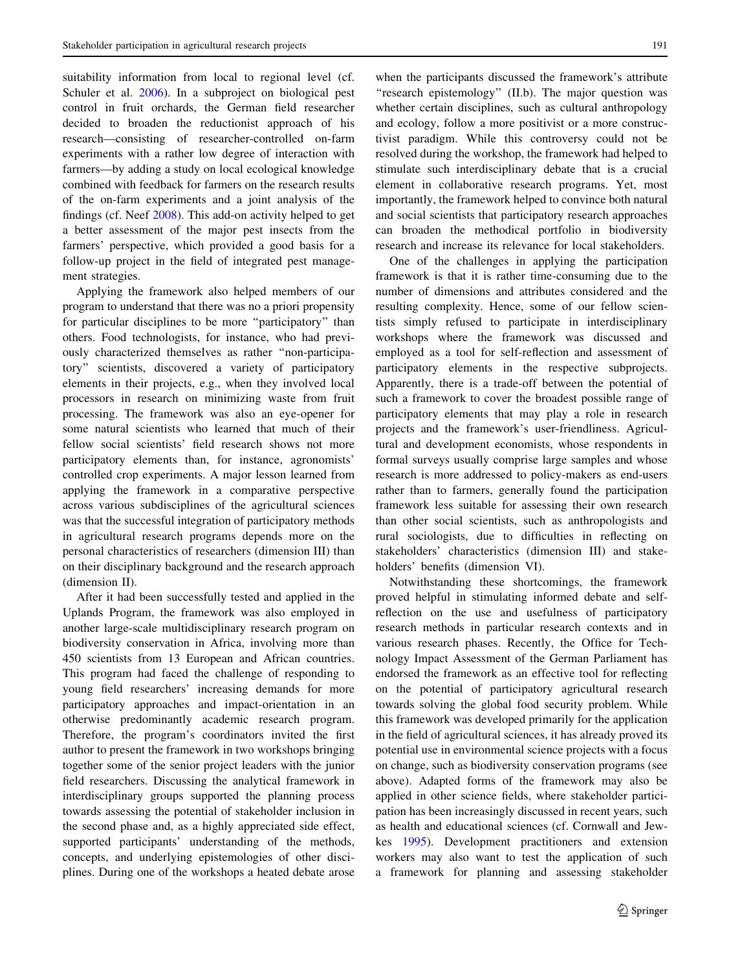suitability information from local to regional level (cf. Schuler et al. [2006](#page-15-0)). In a subproject on biological pest control in fruit orchards, the German field researcher decided to broaden the reductionist approach of his research—consisting of researcher-controlled on-farm experiments with a rather low degree of interaction with farmers—by adding a study on local ecological knowledge combined with feedback for farmers on the research results of the on-farm experiments and a joint analysis of the findings (cf. Neef [2008](#page-14-0)). This add-on activity helped to get a better assessment of the major pest insects from the farmers' perspective, which provided a good basis for a follow-up project in the field of integrated pest management strategies.

Applying the framework also helped members of our program to understand that there was no a priori propensity for particular disciplines to be more ''participatory'' than others. Food technologists, for instance, who had previously characterized themselves as rather ''non-participatory'' scientists, discovered a variety of participatory elements in their projects, e.g., when they involved local processors in research on minimizing waste from fruit processing. The framework was also an eye-opener for some natural scientists who learned that much of their fellow social scientists' field research shows not more participatory elements than, for instance, agronomists' controlled crop experiments. A major lesson learned from applying the framework in a comparative perspective across various subdisciplines of the agricultural sciences was that the successful integration of participatory methods in agricultural research programs depends more on the personal characteristics of researchers (dimension III) than on their disciplinary background and the research approach (dimension II).

After it had been successfully tested and applied in the Uplands Program, the framework was also employed in another large-scale multidisciplinary research program on biodiversity conservation in Africa, involving more than 450 scientists from 13 European and African countries. This program had faced the challenge of responding to young field researchers' increasing demands for more participatory approaches and impact-orientation in an otherwise predominantly academic research program. Therefore, the program's coordinators invited the first author to present the framework in two workshops bringing together some of the senior project leaders with the junior field researchers. Discussing the analytical framework in interdisciplinary groups supported the planning process towards assessing the potential of stakeholder inclusion in the second phase and, as a highly appreciated side effect, supported participants' understanding of the methods, concepts, and underlying epistemologies of other disciplines. During one of the workshops a heated debate arose

when the participants discussed the framework's attribute "research epistemology" (II.b). The major question was whether certain disciplines, such as cultural anthropology and ecology, follow a more positivist or a more constructivist paradigm. While this controversy could not be resolved during the workshop, the framework had helped to stimulate such interdisciplinary debate that is a crucial element in collaborative research programs. Yet, most importantly, the framework helped to convince both natural and social scientists that participatory research approaches can broaden the methodical portfolio in biodiversity research and increase its relevance for local stakeholders.

One of the challenges in applying the participation framework is that it is rather time-consuming due to the number of dimensions and attributes considered and the resulting complexity. Hence, some of our fellow scientists simply refused to participate in interdisciplinary workshops where the framework was discussed and employed as a tool for self-reflection and assessment of participatory elements in the respective subprojects. Apparently, there is a trade-off between the potential of such a framework to cover the broadest possible range of participatory elements that may play a role in research projects and the framework's user-friendliness. Agricultural and development economists, whose respondents in formal surveys usually comprise large samples and whose research is more addressed to policy-makers as end-users rather than to farmers, generally found the participation framework less suitable for assessing their own research than other social scientists, such as anthropologists and rural sociologists, due to difficulties in reflecting on stakeholders' characteristics (dimension III) and stakeholders' benefits (dimension VI).

Notwithstanding these shortcomings, the framework proved helpful in stimulating informed debate and selfreflection on the use and usefulness of participatory research methods in particular research contexts and in various research phases. Recently, the Office for Technology Impact Assessment of the German Parliament has endorsed the framework as an effective tool for reflecting on the potential of participatory agricultural research towards solving the global food security problem. While this framework was developed primarily for the application in the field of agricultural sciences, it has already proved its potential use in environmental science projects with a focus on change, such as biodiversity conservation programs (see above). Adapted forms of the framework may also be applied in other science fields, where stakeholder participation has been increasingly discussed in recent years, such as health and educational sciences (cf. Cornwall and Jewkes [1995\)](#page-14-0). Development practitioners and extension workers may also want to test the application of such a framework for planning and assessing stakeholder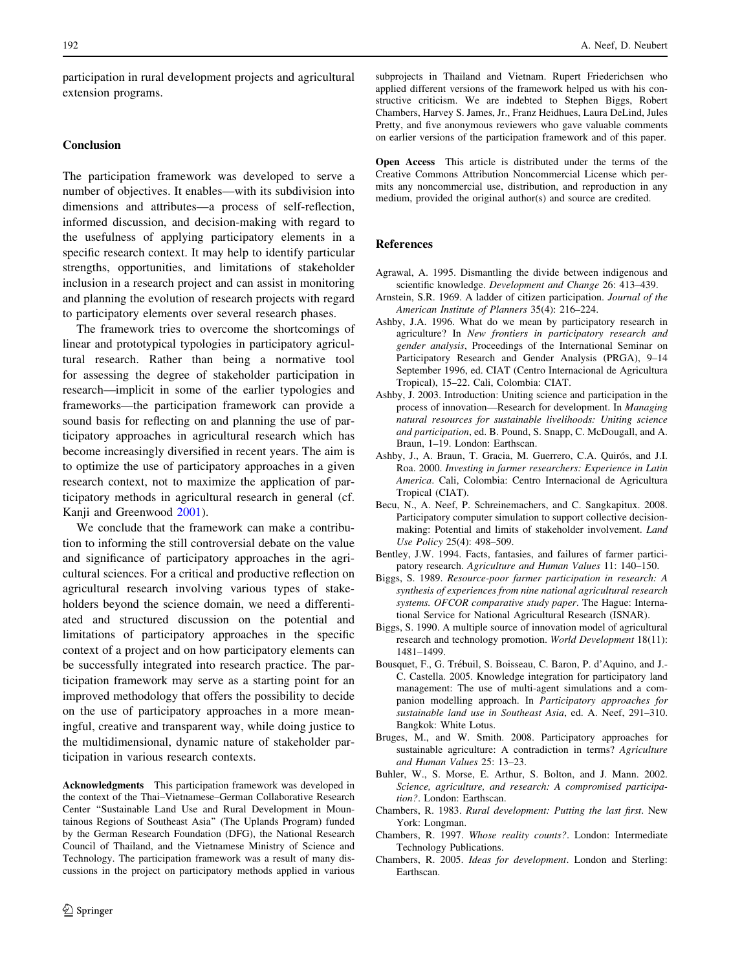<span id="page-13-0"></span>participation in rural development projects and agricultural extension programs.

# Conclusion

The participation framework was developed to serve a number of objectives. It enables—with its subdivision into dimensions and attributes—a process of self-reflection, informed discussion, and decision-making with regard to the usefulness of applying participatory elements in a specific research context. It may help to identify particular strengths, opportunities, and limitations of stakeholder inclusion in a research project and can assist in monitoring and planning the evolution of research projects with regard to participatory elements over several research phases.

The framework tries to overcome the shortcomings of linear and prototypical typologies in participatory agricultural research. Rather than being a normative tool for assessing the degree of stakeholder participation in research—implicit in some of the earlier typologies and frameworks—the participation framework can provide a sound basis for reflecting on and planning the use of participatory approaches in agricultural research which has become increasingly diversified in recent years. The aim is to optimize the use of participatory approaches in a given research context, not to maximize the application of participatory methods in agricultural research in general (cf. Kanji and Greenwood [2001](#page-14-0)).

We conclude that the framework can make a contribution to informing the still controversial debate on the value and significance of participatory approaches in the agricultural sciences. For a critical and productive reflection on agricultural research involving various types of stakeholders beyond the science domain, we need a differentiated and structured discussion on the potential and limitations of participatory approaches in the specific context of a project and on how participatory elements can be successfully integrated into research practice. The participation framework may serve as a starting point for an improved methodology that offers the possibility to decide on the use of participatory approaches in a more meaningful, creative and transparent way, while doing justice to the multidimensional, dynamic nature of stakeholder participation in various research contexts.

Acknowledgments This participation framework was developed in the context of the Thai–Vietnamese–German Collaborative Research Center ''Sustainable Land Use and Rural Development in Mountainous Regions of Southeast Asia'' (The Uplands Program) funded by the German Research Foundation (DFG), the National Research Council of Thailand, and the Vietnamese Ministry of Science and Technology. The participation framework was a result of many discussions in the project on participatory methods applied in various

subprojects in Thailand and Vietnam. Rupert Friederichsen who applied different versions of the framework helped us with his constructive criticism. We are indebted to Stephen Biggs, Robert Chambers, Harvey S. James, Jr., Franz Heidhues, Laura DeLind, Jules Pretty, and five anonymous reviewers who gave valuable comments on earlier versions of the participation framework and of this paper.

Open Access This article is distributed under the terms of the Creative Commons Attribution Noncommercial License which permits any noncommercial use, distribution, and reproduction in any medium, provided the original author(s) and source are credited.

#### References

- Agrawal, A. 1995. Dismantling the divide between indigenous and scientific knowledge. Development and Change 26: 413–439.
- Arnstein, S.R. 1969. A ladder of citizen participation. Journal of the American Institute of Planners 35(4): 216–224.
- Ashby, J.A. 1996. What do we mean by participatory research in agriculture? In New frontiers in participatory research and gender analysis, Proceedings of the International Seminar on Participatory Research and Gender Analysis (PRGA), 9–14 September 1996, ed. CIAT (Centro Internacional de Agricultura Tropical), 15–22. Cali, Colombia: CIAT.
- Ashby, J. 2003. Introduction: Uniting science and participation in the process of innovation—Research for development. In Managing natural resources for sustainable livelihoods: Uniting science and participation, ed. B. Pound, S. Snapp, C. McDougall, and A. Braun, 1–19. London: Earthscan.
- Ashby, J., A. Braun, T. Gracia, M. Guerrero, C.A. Quirós, and J.I. Roa. 2000. Investing in farmer researchers: Experience in Latin America. Cali, Colombia: Centro Internacional de Agricultura Tropical (CIAT).
- Becu, N., A. Neef, P. Schreinemachers, and C. Sangkapitux. 2008. Participatory computer simulation to support collective decisionmaking: Potential and limits of stakeholder involvement. Land Use Policy 25(4): 498–509.
- Bentley, J.W. 1994. Facts, fantasies, and failures of farmer participatory research. Agriculture and Human Values 11: 140–150.
- Biggs, S. 1989. Resource-poor farmer participation in research: A synthesis of experiences from nine national agricultural research systems. OFCOR comparative study paper. The Hague: International Service for National Agricultural Research (ISNAR).
- Biggs, S. 1990. A multiple source of innovation model of agricultural research and technology promotion. World Development 18(11): 1481–1499.
- Bousquet, F., G. Trébuil, S. Boisseau, C. Baron, P. d'Aquino, and J.-C. Castella. 2005. Knowledge integration for participatory land management: The use of multi-agent simulations and a companion modelling approach. In Participatory approaches for sustainable land use in Southeast Asia, ed. A. Neef, 291–310. Bangkok: White Lotus.
- Bruges, M., and W. Smith. 2008. Participatory approaches for sustainable agriculture: A contradiction in terms? Agriculture and Human Values 25: 13–23.
- Buhler, W., S. Morse, E. Arthur, S. Bolton, and J. Mann. 2002. Science, agriculture, and research: A compromised participation?. London: Earthscan.
- Chambers, R. 1983. Rural development: Putting the last first. New York: Longman.
- Chambers, R. 1997. Whose reality counts?. London: Intermediate Technology Publications.
- Chambers, R. 2005. Ideas for development. London and Sterling: Earthscan.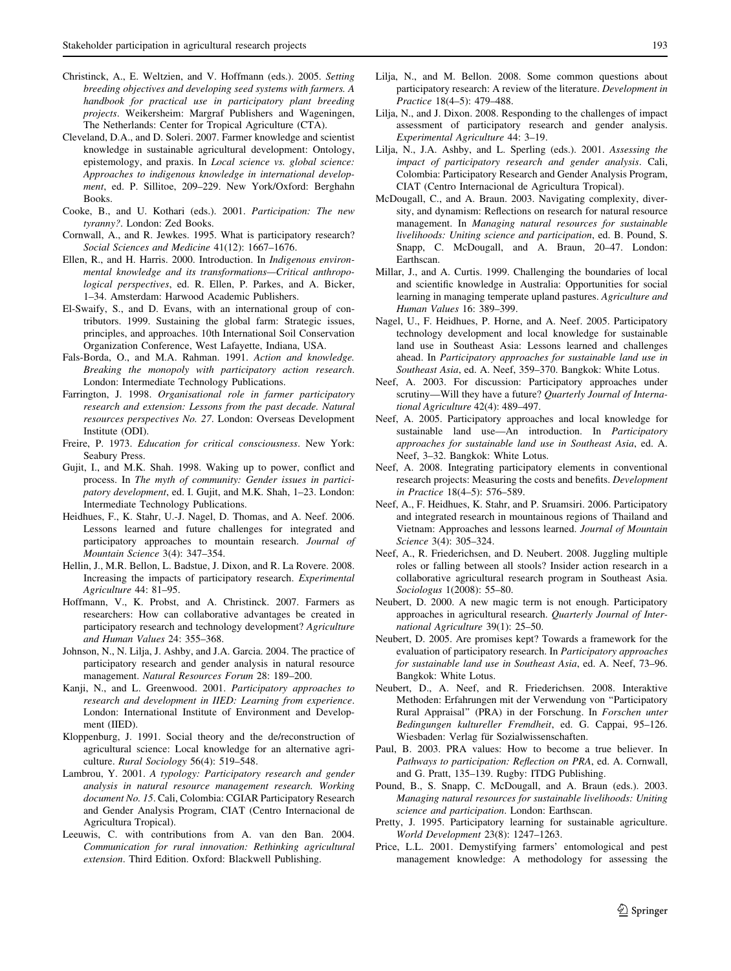- <span id="page-14-0"></span>Christinck, A., E. Weltzien, and V. Hoffmann (eds.). 2005. Setting breeding objectives and developing seed systems with farmers. A handbook for practical use in participatory plant breeding projects. Weikersheim: Margraf Publishers and Wageningen, The Netherlands: Center for Tropical Agriculture (CTA).
- Cleveland, D.A., and D. Soleri. 2007. Farmer knowledge and scientist knowledge in sustainable agricultural development: Ontology, epistemology, and praxis. In Local science vs. global science: Approaches to indigenous knowledge in international development, ed. P. Sillitoe, 209–229. New York/Oxford: Berghahn Books.
- Cooke, B., and U. Kothari (eds.). 2001. Participation: The new tyranny?. London: Zed Books.
- Cornwall, A., and R. Jewkes. 1995. What is participatory research? Social Sciences and Medicine 41(12): 1667–1676.
- Ellen, R., and H. Harris. 2000. Introduction. In Indigenous environmental knowledge and its transformations—Critical anthropological perspectives, ed. R. Ellen, P. Parkes, and A. Bicker, 1–34. Amsterdam: Harwood Academic Publishers.
- El-Swaify, S., and D. Evans, with an international group of contributors. 1999. Sustaining the global farm: Strategic issues, principles, and approaches. 10th International Soil Conservation Organization Conference, West Lafayette, Indiana, USA.
- Fals-Borda, O., and M.A. Rahman. 1991. Action and knowledge. Breaking the monopoly with participatory action research. London: Intermediate Technology Publications.
- Farrington, J. 1998. Organisational role in farmer participatory research and extension: Lessons from the past decade. Natural resources perspectives No. 27. London: Overseas Development Institute (ODI).
- Freire, P. 1973. Education for critical consciousness. New York: Seabury Press.
- Gujit, I., and M.K. Shah. 1998. Waking up to power, conflict and process. In The myth of community: Gender issues in participatory development, ed. I. Gujit, and M.K. Shah, 1–23. London: Intermediate Technology Publications.
- Heidhues, F., K. Stahr, U.-J. Nagel, D. Thomas, and A. Neef. 2006. Lessons learned and future challenges for integrated and participatory approaches to mountain research. Journal of Mountain Science 3(4): 347–354.
- Hellin, J., M.R. Bellon, L. Badstue, J. Dixon, and R. La Rovere. 2008. Increasing the impacts of participatory research. Experimental Agriculture 44: 81–95.
- Hoffmann, V., K. Probst, and A. Christinck. 2007. Farmers as researchers: How can collaborative advantages be created in participatory research and technology development? Agriculture and Human Values 24: 355–368.
- Johnson, N., N. Lilja, J. Ashby, and J.A. Garcia. 2004. The practice of participatory research and gender analysis in natural resource management. Natural Resources Forum 28: 189–200.
- Kanji, N., and L. Greenwood. 2001. Participatory approaches to research and development in IIED: Learning from experience. London: International Institute of Environment and Development (IIED).
- Kloppenburg, J. 1991. Social theory and the de/reconstruction of agricultural science: Local knowledge for an alternative agriculture. Rural Sociology 56(4): 519–548.
- Lambrou, Y. 2001. A typology: Participatory research and gender analysis in natural resource management research. Working document No. 15. Cali, Colombia: CGIAR Participatory Research and Gender Analysis Program, CIAT (Centro Internacional de Agricultura Tropical).
- Leeuwis, C. with contributions from A. van den Ban. 2004. Communication for rural innovation: Rethinking agricultural extension. Third Edition. Oxford: Blackwell Publishing.
- Lilja, N., and M. Bellon. 2008. Some common questions about participatory research: A review of the literature. Development in Practice 18(4–5): 479–488.
- Lilja, N., and J. Dixon. 2008. Responding to the challenges of impact assessment of participatory research and gender analysis. Experimental Agriculture 44: 3–19.
- Lilja, N., J.A. Ashby, and L. Sperling (eds.). 2001. Assessing the impact of participatory research and gender analysis. Cali, Colombia: Participatory Research and Gender Analysis Program, CIAT (Centro Internacional de Agricultura Tropical).
- McDougall, C., and A. Braun. 2003. Navigating complexity, diversity, and dynamism: Reflections on research for natural resource management. In Managing natural resources for sustainable livelihoods: Uniting science and participation, ed. B. Pound, S. Snapp, C. McDougall, and A. Braun, 20–47. London: Earthscan.
- Millar, J., and A. Curtis. 1999. Challenging the boundaries of local and scientific knowledge in Australia: Opportunities for social learning in managing temperate upland pastures. Agriculture and Human Values 16: 389–399.
- Nagel, U., F. Heidhues, P. Horne, and A. Neef. 2005. Participatory technology development and local knowledge for sustainable land use in Southeast Asia: Lessons learned and challenges ahead. In Participatory approaches for sustainable land use in Southeast Asia, ed. A. Neef, 359–370. Bangkok: White Lotus.
- Neef, A. 2003. For discussion: Participatory approaches under scrutiny—Will they have a future? Quarterly Journal of International Agriculture 42(4): 489–497.
- Neef, A. 2005. Participatory approaches and local knowledge for sustainable land use—An introduction. In Participatory approaches for sustainable land use in Southeast Asia, ed. A. Neef, 3–32. Bangkok: White Lotus.
- Neef, A. 2008. Integrating participatory elements in conventional research projects: Measuring the costs and benefits. Development in Practice 18(4–5): 576–589.
- Neef, A., F. Heidhues, K. Stahr, and P. Sruamsiri. 2006. Participatory and integrated research in mountainous regions of Thailand and Vietnam: Approaches and lessons learned. Journal of Mountain Science 3(4): 305–324.
- Neef, A., R. Friederichsen, and D. Neubert. 2008. Juggling multiple roles or falling between all stools? Insider action research in a collaborative agricultural research program in Southeast Asia. Sociologus 1(2008): 55–80.
- Neubert, D. 2000. A new magic term is not enough. Participatory approaches in agricultural research. Quarterly Journal of International Agriculture 39(1): 25–50.
- Neubert, D. 2005. Are promises kept? Towards a framework for the evaluation of participatory research. In Participatory approaches for sustainable land use in Southeast Asia, ed. A. Neef, 73–96. Bangkok: White Lotus.
- Neubert, D., A. Neef, and R. Friederichsen. 2008. Interaktive Methoden: Erfahrungen mit der Verwendung von ''Participatory Rural Appraisal'' (PRA) in der Forschung. In Forschen unter Bedingungen kultureller Fremdheit, ed. G. Cappai, 95–126. Wiesbaden: Verlag für Sozialwissenschaften.
- Paul, B. 2003. PRA values: How to become a true believer. In Pathways to participation: Reflection on PRA, ed. A. Cornwall, and G. Pratt, 135–139. Rugby: ITDG Publishing.
- Pound, B., S. Snapp, C. McDougall, and A. Braun (eds.). 2003. Managing natural resources for sustainable livelihoods: Uniting science and participation. London: Earthscan.
- Pretty, J. 1995. Participatory learning for sustainable agriculture. World Development 23(8): 1247–1263.
- Price, L.L. 2001. Demystifying farmers' entomological and pest management knowledge: A methodology for assessing the